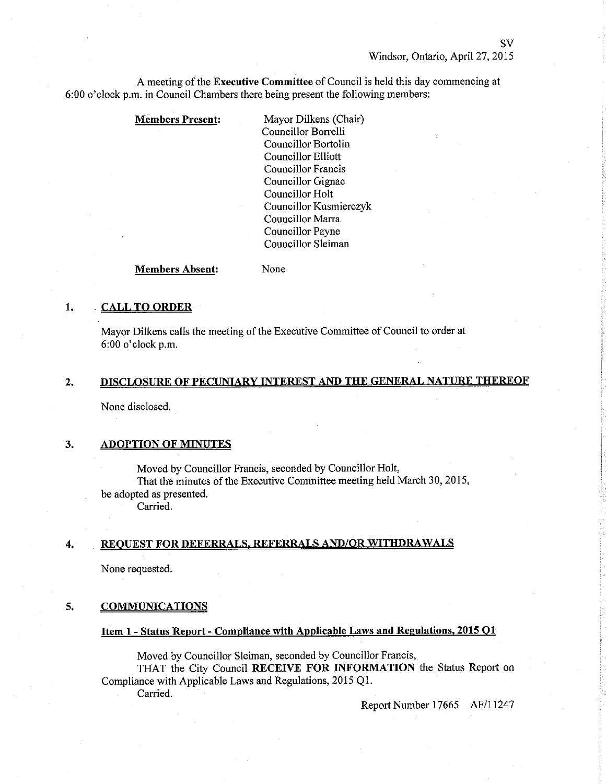A meeting of the Executive Committee of Council is held this day commencing at 6:00 o'clock p.m. in Council Chambers there being present the following mernbers:

#### Members Present: Mayor Dilkens (Chair)

Councillor Borrelli Councillor Bortolin Councillor Elliott Councillor Francis Councillor Gignac Councillor Holt Councillor Kusmierczyk Councillor Marra Councillor Payne Councillor Sleiman

#### Members Absent: None

## 1. CALL TO ORDER

Mayor Dilkens calls the meeting of the Executive Committee of Council to order at 6:00 o'clock p.m.

#### DISCLOSURE OF PECUNIARY INTEREST AND THE GENERAL NATURE THEREOF z.

None disclosed.

## 3. ADOPTION OF MINUTES

Moved by Councillor Francis, seconded by Councillor Holt, That the minutes of the Executive Committee meeting held March 30, 2015, be adopted as presented.

Carried.

## 4. REOUEST FOR DEFERRALS, REFERRALS AND/OR WITHDRAWALS

None requested.

#### 5. COMMUNICATIONS

# Item 1 - Status Report - Compliance with Applicable Laws and Regulations, 2015 Q1

Moved by Councillor Sleiman, seconded by Councillor Francis, THAT the City Council RECEIVE FOR INFORMATION the Status Report on Compliance with Applicable Laws and Regulations, 2015 Q1. Carried.

Report Number 17665 AF/11247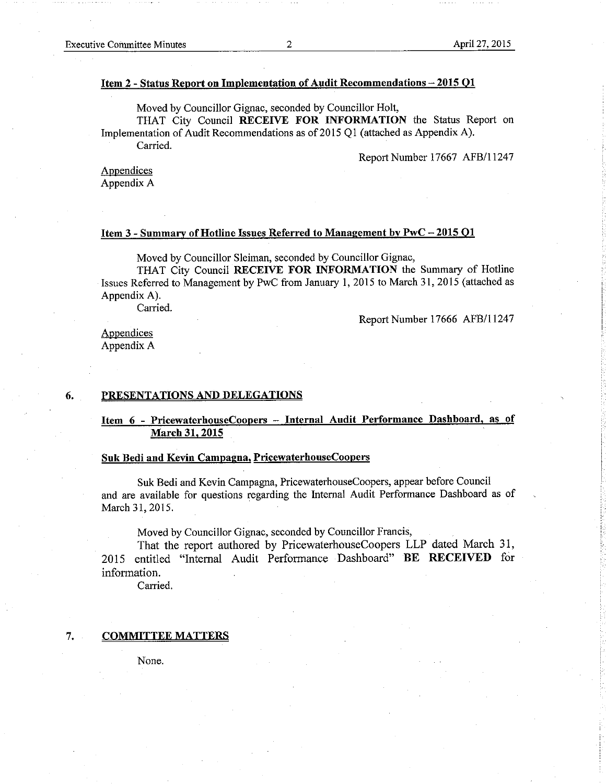### Item 2 - Status Reoort on Implementation of Äudit Recommendations - 2015 Ol

Moved by Councillor Gignac, seconded by Councillor Holt,

THAT City Council RECEIVE FOR INFORMATION the Status Report on Implementation of Audit Recommendations as of 2015 Q1 (attached as Appendix A).

Carried.

Report Number 17667 AFB/11247

Appendices Appendix A

#### Item 3 - Summary of Hotline Issues Referred to Management by PwC - 2015 Q1

Moved by Councillor Sleiman, seconded by Councillor Gignac,

THAT City Council RECEIVE FOR INFORMATION the Summary of Hotline Issues Referred to Management by PwC from January 1, 2015 to March 31, 2015 (attached as Appendix A).

Carried.

Report Number 17666 AFB/11247

Appendices Appendix A

### 6. PRESENTATIONS AND DELEGATIONS

## Item 6 - PricewaterhouseCoopers - Internal Audit Performance Dashboard, as of March 31. 2015

#### Suk Bedi and Kevin Campagna, PricewaterhouseCoopers

Suk Bedi and Kevin Campagna, PricewaterhouseCoopers, appear before Council and are available for questions regarding the Internal Audit Performance Dashboard as of March 31, 2015.

Moved by Councillor Gignac, seconded by Councillor Francis,

That the report authored by PricewaterhouseCoopers LLP dated March 31, 2015 entitled "Internal Audit Performance Dashboard" BE RECEIVED for information.

Carried.

#### 7. COMMITTEE MATTERS

None.